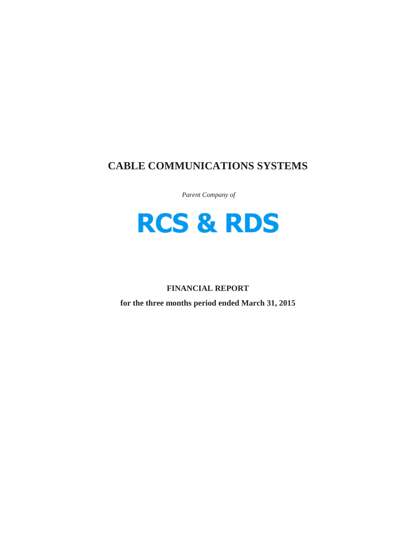# **CABLE COMMUNICATIONS SYSTEMS**

*Parent Company of*



## **FINANCIAL REPORT**

**for the three months period ended March 31, 2015**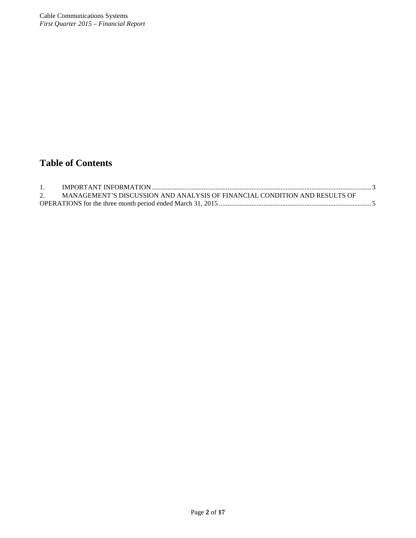# **Table of Contents**

| MANAGEMENT'S DISCUSSION AND ANALYSIS OF FINANCIAL CONDITION AND RESULTS OF |  |
|----------------------------------------------------------------------------|--|
|                                                                            |  |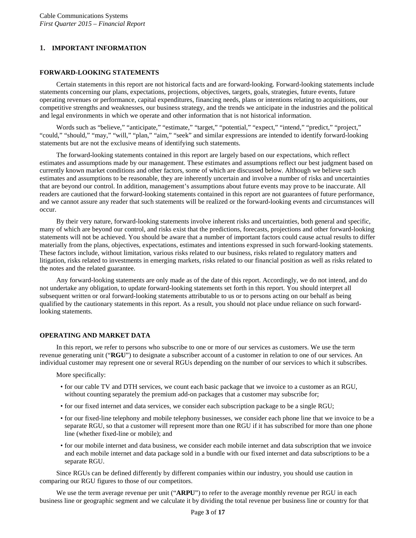## <span id="page-2-0"></span>**1. IMPORTANT INFORMATION**

## **FORWARD-LOOKING STATEMENTS**

Certain statements in this report are not historical facts and are forward-looking. Forward-looking statements include statements concerning our plans, expectations, projections, objectives, targets, goals, strategies, future events, future operating revenues or performance, capital expenditures, financing needs, plans or intentions relating to acquisitions, our competitive strengths and weaknesses, our business strategy, and the trends we anticipate in the industries and the political and legal environments in which we operate and other information that is not historical information.

Words such as "believe," "anticipate," "estimate," "target," "potential," "expect," "intend," "predict," "project," "could," "should," "may," "will," "plan," "aim," "seek" and similar expressions are intended to identify forward-looking statements but are not the exclusive means of identifying such statements.

The forward-looking statements contained in this report are largely based on our expectations, which reflect estimates and assumptions made by our management. These estimates and assumptions reflect our best judgment based on currently known market conditions and other factors, some of which are discussed below. Although we believe such estimates and assumptions to be reasonable, they are inherently uncertain and involve a number of risks and uncertainties that are beyond our control. In addition, management's assumptions about future events may prove to be inaccurate. All readers are cautioned that the forward-looking statements contained in this report are not guarantees of future performance, and we cannot assure any reader that such statements will be realized or the forward-looking events and circumstances will occur.

By their very nature, forward-looking statements involve inherent risks and uncertainties, both general and specific, many of which are beyond our control, and risks exist that the predictions, forecasts, projections and other forward-looking statements will not be achieved. You should be aware that a number of important factors could cause actual results to differ materially from the plans, objectives, expectations, estimates and intentions expressed in such forward-looking statements. These factors include, without limitation, various risks related to our business, risks related to regulatory matters and litigation, risks related to investments in emerging markets, risks related to our financial position as well as risks related to the notes and the related guarantee.

Any forward-looking statements are only made as of the date of this report. Accordingly, we do not intend, and do not undertake any obligation, to update forward-looking statements set forth in this report. You should interpret all subsequent written or oral forward-looking statements attributable to us or to persons acting on our behalf as being qualified by the cautionary statements in this report. As a result, you should not place undue reliance on such forwardlooking statements.

## **OPERATING AND MARKET DATA**

In this report, we refer to persons who subscribe to one or more of our services as customers. We use the term revenue generating unit ("**RGU**") to designate a subscriber account of a customer in relation to one of our services. An individual customer may represent one or several RGUs depending on the number of our services to which it subscribes.

More specifically:

- for our cable TV and DTH services, we count each basic package that we invoice to a customer as an RGU, without counting separately the premium add-on packages that a customer may subscribe for;
- for our fixed internet and data services, we consider each subscription package to be a single RGU;
- for our fixed-line telephony and mobile telephony businesses, we consider each phone line that we invoice to be a separate RGU, so that a customer will represent more than one RGU if it has subscribed for more than one phone line (whether fixed-line or mobile); and
- for our mobile internet and data business, we consider each mobile internet and data subscription that we invoice and each mobile internet and data package sold in a bundle with our fixed internet and data subscriptions to be a separate RGU.

Since RGUs can be defined differently by different companies within our industry, you should use caution in comparing our RGU figures to those of our competitors.

We use the term average revenue per unit ("**ARPU**") to refer to the average monthly revenue per RGU in each business line or geographic segment and we calculate it by dividing the total revenue per business line or country for that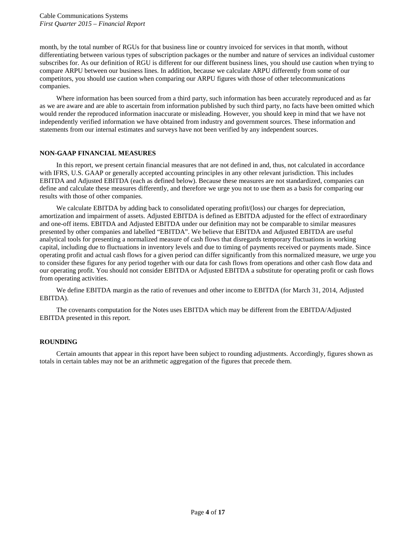month, by the total number of RGUs for that business line or country invoiced for services in that month, without differentiating between various types of subscription packages or the number and nature of services an individual customer subscribes for. As our definition of RGU is different for our different business lines, you should use caution when trying to compare ARPU between our business lines. In addition, because we calculate ARPU differently from some of our competitors, you should use caution when comparing our ARPU figures with those of other telecommunications companies.

Where information has been sourced from a third party, such information has been accurately reproduced and as far as we are aware and are able to ascertain from information published by such third party, no facts have been omitted which would render the reproduced information inaccurate or misleading. However, you should keep in mind that we have not independently verified information we have obtained from industry and government sources. These information and statements from our internal estimates and surveys have not been verified by any independent sources.

## **NON-GAAP FINANCIAL MEASURES**

In this report, we present certain financial measures that are not defined in and, thus, not calculated in accordance with IFRS, U.S. GAAP or generally accepted accounting principles in any other relevant jurisdiction. This includes EBITDA and Adjusted EBITDA (each as defined below). Because these measures are not standardized, companies can define and calculate these measures differently, and therefore we urge you not to use them as a basis for comparing our results with those of other companies.

We calculate EBITDA by adding back to consolidated operating profit/(loss) our charges for depreciation, amortization and impairment of assets. Adjusted EBITDA is defined as EBITDA adjusted for the effect of extraordinary and one-off items. EBITDA and Adjusted EBITDA under our definition may not be comparable to similar measures presented by other companies and labelled "EBITDA". We believe that EBITDA and Adjusted EBITDA are useful analytical tools for presenting a normalized measure of cash flows that disregards temporary fluctuations in working capital, including due to fluctuations in inventory levels and due to timing of payments received or payments made. Since operating profit and actual cash flows for a given period can differ significantly from this normalized measure, we urge you to consider these figures for any period together with our data for cash flows from operations and other cash flow data and our operating profit. You should not consider EBITDA or Adjusted EBITDA a substitute for operating profit or cash flows from operating activities.

We define EBITDA margin as the ratio of revenues and other income to EBITDA (for March 31, 2014, Adjusted EBITDA).

The covenants computation for the Notes uses EBITDA which may be different from the EBITDA/Adjusted EBITDA presented in this report.

## **ROUNDING**

Certain amounts that appear in this report have been subject to rounding adjustments. Accordingly, figures shown as totals in certain tables may not be an arithmetic aggregation of the figures that precede them.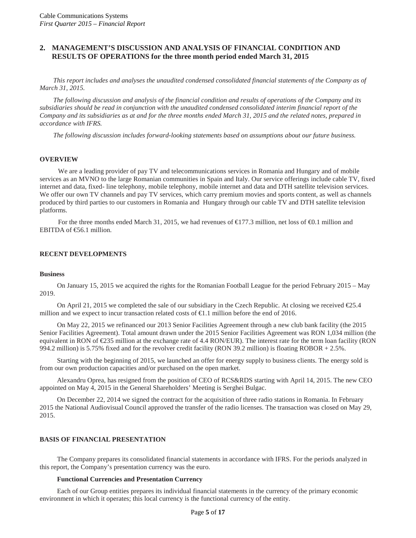## <span id="page-4-0"></span>**2. MANAGEMENT'S DISCUSSION AND ANALYSIS OF FINANCIAL CONDITION AND RESULTS OF OPERATIONS for the three month period ended March 31, 2015**

*This report includes and analyses the unaudited condensed consolidated financial statements of the Company as of March 31, 2015.*

*The following discussion and analysis of the financial condition and results of operations of the Company and its subsidiaries should be read in conjunction with the unaudited condensed consolidated interim financial report of the Company and its subsidiaries as at and for the three months ended March 31, 2015 and the related notes, prepared in accordance with IFRS.*

*The following discussion includes forward-looking statements based on assumptions about our future business.*

#### **OVERVIEW**

We are a leading provider of pay TV and telecommunications services in Romania and Hungary and of mobile services as an MVNO to the large Romanian communities in Spain and Italy. Our service offerings include cable TV, fixed internet and data, fixed- line telephony, mobile telephony, mobile internet and data and DTH satellite television services. We offer our own TV channels and pay TV services, which carry premium movies and sports content, as well as channels produced by third parties to our customers in Romania and Hungary through our cable TV and DTH satellite television platforms.

For the three months ended March 31, 2015, we had revenues of  $\bigoplus$  77.3 million, net loss of  $\bigoplus$ .1 million and EBITDA of  $\epsilon$ 56.1 million.

## **RECENT DEVELOPMENTS**

#### **Business**

On January 15, 2015 we acquired the rights for the Romanian Football League for the period February 2015 – May 2019.

On April 21, 2015 we completed the sale of our subsidiary in the Czech Republic. At closing we received €25.4 million and we expect to incur transaction related costs of €1.1 million before the end of 2016.

On May 22, 2015 we refinanced our 2013 Senior Facilities Agreement through a new club bank facility (the 2015 Senior Facilities Agreement). Total amount drawn under the 2015 Senior Facilities Agreement was RON 1,034 million (the equivalent in RON of  $\text{\textsterling}25$  million at the exchange rate of 4.4 RON/EUR). The interest rate for the term loan facility (RON 994.2 million) is 5.75% fixed and for the revolver credit facility (RON 39.2 million) is floating ROBOR + 2.5%.

Starting with the beginning of 2015, we launched an offer for energy supply to business clients. The energy sold is from our own production capacities and/or purchased on the open market.

Alexandru Oprea, has resigned from the position of CEO of RCS&RDS starting with April 14, 2015. The new CEO appointed on May 4, 2015 in the General Shareholders' Meeting is Serghei Bulgac.

On December 22, 2014 we signed the contract for the acquisition of three radio stations in Romania. In February 2015 the National Audiovisual Council approved the transfer of the radio licenses. The transaction was closed on May 29, 2015.

#### **BASIS OF FINANCIAL PRESENTATION**

The Company prepares its consolidated financial statements in accordance with IFRS. For the periods analyzed in this report, the Company's presentation currency was the euro.

#### **Functional Currencies and Presentation Currency**

Each of our Group entities prepares its individual financial statements in the currency of the primary economic environment in which it operates; this local currency is the functional currency of the entity.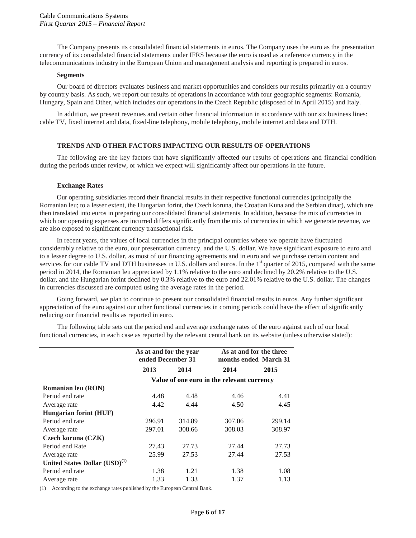The Company presents its consolidated financial statements in euros. The Company uses the euro as the presentation currency of its consolidated financial statements under IFRS because the euro is used as a reference currency in the telecommunications industry in the European Union and management analysis and reporting is prepared in euros.

#### **Segments**

Our board of directors evaluates business and market opportunities and considers our results primarily on a country by country basis. As such, we report our results of operations in accordance with four geographic segments: Romania, Hungary, Spain and Other, which includes our operations in the Czech Republic (disposed of in April 2015) and Italy.

In addition, we present revenues and certain other financial information in accordance with our six business lines: cable TV, fixed internet and data, fixed-line telephony, mobile telephony, mobile internet and data and DTH.

## **TRENDS AND OTHER FACTORS IMPACTING OUR RESULTS OF OPERATIONS**

The following are the key factors that have significantly affected our results of operations and financial condition during the periods under review, or which we expect will significantly affect our operations in the future.

#### **Exchange Rates**

Our operating subsidiaries record their financial results in their respective functional currencies (principally the Romanian leu; to a lesser extent, the Hungarian forint, the Czech koruna, the Croatian Kuna and the Serbian dinar), which are then translated into euros in preparing our consolidated financial statements. In addition, because the mix of currencies in which our operating expenses are incurred differs significantly from the mix of currencies in which we generate revenue, we are also exposed to significant currency transactional risk.

In recent years, the values of local currencies in the principal countries where we operate have fluctuated considerably relative to the euro, our presentation currency, and the U.S. dollar. We have significant exposure to euro and to a lesser degree to U.S. dollar, as most of our financing agreements and in euro and we purchase certain content and services for our cable TV and DTH businesses in U.S. dollars and euros. In the  $1<sup>st</sup>$  quarter of 2015, compared with the same period in 2014, the Romanian leu appreciated by 1.1% relative to the euro and declined by 20.2% relative to the U.S. dollar, and the Hungarian forint declined by 0.3% relative to the euro and 22.01% relative to the U.S. dollar. The changes in currencies discussed are computed using the average rates in the period.

Going forward, we plan to continue to present our consolidated financial results in euros. Any further significant appreciation of the euro against our other functional currencies in coming periods could have the effect of significantly reducing our financial results as reported in euro.

The following table sets out the period end and average exchange rates of the euro against each of our local functional currencies, in each case as reported by the relevant central bank on its website (unless otherwise stated):

|                                           | As at and for the year |        | As at and for the three                    |        |
|-------------------------------------------|------------------------|--------|--------------------------------------------|--------|
|                                           | ended December 31      |        | months ended March 31                      |        |
|                                           | 2013                   | 2014   | 2014                                       | 2015   |
|                                           |                        |        | Value of one euro in the relevant currency |        |
| Romanian leu (RON)                        |                        |        |                                            |        |
| Period end rate                           | 4.48                   | 4.48   | 4.46                                       | 4.41   |
| Average rate                              | 4.42                   | 4.44   | 4.50                                       | 4.45   |
| <b>Hungarian forint (HUF)</b>             |                        |        |                                            |        |
| Period end rate                           | 296.91                 | 314.89 | 307.06                                     | 299.14 |
| Average rate                              | 297.01                 | 308.66 | 308.03                                     | 308.97 |
| Czech koruna (CZK)                        |                        |        |                                            |        |
| Period end Rate                           | 27.43                  | 27.73  | 27.44                                      | 27.73  |
| Average rate                              | 25.99                  | 27.53  | 27.44                                      | 27.53  |
| United States Dollar (USD) <sup>(1)</sup> |                        |        |                                            |        |
| Period end rate                           | 1.38                   | 1.21   | 1.38                                       | 1.08   |
| Average rate                              | 1.33                   | 1.33   | 1.37                                       | 1.13   |

(1) According to the exchange rates published by the European Central Bank.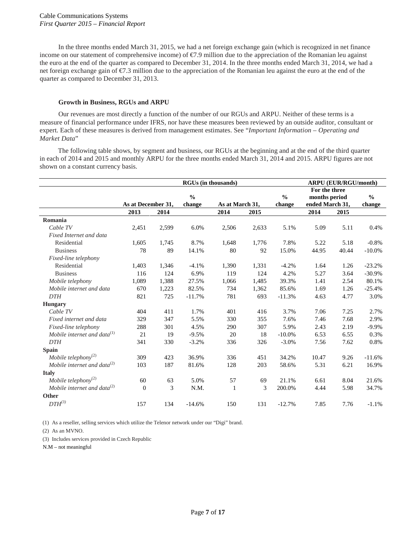In the three months ended March 31, 2015, we had a net foreign exchange gain (which is recognized in net finance income on our statement of comprehensive income) of €7.9 million due to the appreciation of the Romanian leu against the euro at the end of the quarter as compared to December 31, 2014. In the three months ended March 31, 2014, we had a net foreign exchange gain of €7.3 million due to the appreciation of the Romanian leu against the euro at the end of the quarter as compared to December 31, 2013.

#### **Growth in Business, RGUs and ARPU**

Our revenues are most directly a function of the number of our RGUs and ARPU. Neither of these terms is a measure of financial performance under IFRS, nor have these measures been reviewed by an outside auditor, consultant or expert. Each of these measures is derived from management estimates. See "*Important Information – Operating and Market Data*"

The following table shows, by segment and business, our RGUs at the beginning and at the end of the third quarter in each of 2014 and 2015 and monthly ARPU for the three months ended March 31, 2014 and 2015. ARPU figures are not shown on a constant currency basis.

|                                   | <b>RGUs (in thousands)</b> |       |               |                 | <b>ARPU (EUR/RGU/month)</b> |               |                 |       |               |
|-----------------------------------|----------------------------|-------|---------------|-----------------|-----------------------------|---------------|-----------------|-------|---------------|
|                                   |                            |       |               |                 | For the three               |               |                 |       |               |
|                                   |                            |       | $\frac{0}{0}$ |                 |                             | $\frac{0}{0}$ | months period   |       | $\frac{0}{0}$ |
|                                   | As at December 31,         |       | change        | As at March 31, |                             | change        | ended March 31, |       | change        |
|                                   | 2013                       | 2014  |               | 2014            | 2015                        |               | 2014            | 2015  |               |
| Romania                           |                            |       |               |                 |                             |               |                 |       |               |
| Cable TV                          | 2,451                      | 2,599 | 6.0%          | 2,506           | 2,633                       | 5.1%          | 5.09            | 5.11  | 0.4%          |
| Fixed Internet and data           |                            |       |               |                 |                             |               |                 |       |               |
| Residential                       | 1,605                      | 1,745 | 8.7%          | 1,648           | 1,776                       | 7.8%          | 5.22            | 5.18  | $-0.8%$       |
| <b>Business</b>                   | 78                         | 89    | 14.1%         | 80              | 92                          | 15.0%         | 44.95           | 40.44 | $-10.0\%$     |
| Fixed-line telephony              |                            |       |               |                 |                             |               |                 |       |               |
| Residential                       | 1,403                      | 1,346 | $-4.1%$       | 1,390           | 1,331                       | $-4.2%$       | 1.64            | 1.26  | $-23.2%$      |
| <b>Business</b>                   | 116                        | 124   | 6.9%          | 119             | 124                         | 4.2%          | 5.27            | 3.64  | $-30.9%$      |
| Mobile telephony                  | 1,089                      | 1,388 | 27.5%         | 1,066           | 1,485                       | 39.3%         | 1.41            | 2.54  | 80.1%         |
| Mobile internet and data          | 670                        | 1,223 | 82.5%         | 734             | 1,362                       | 85.6%         | 1.69            | 1.26  | $-25.4%$      |
| <b>DTH</b>                        | 821                        | 725   | $-11.7%$      | 781             | 693                         | $-11.3%$      | 4.63            | 4.77  | 3.0%          |
| <b>Hungary</b>                    |                            |       |               |                 |                             |               |                 |       |               |
| Cable TV                          | 404                        | 411   | 1.7%          | 401             | 416                         | 3.7%          | 7.06            | 7.25  | 2.7%          |
| Fixed internet and data           | 329                        | 347   | 5.5%          | 330             | 355                         | 7.6%          | 7.46            | 7.68  | 2.9%          |
| Fixed-line telephony              | 288                        | 301   | 4.5%          | 290             | 307                         | 5.9%          | 2.43            | 2.19  | $-9.9%$       |
| Mobile internet and data $^{(1)}$ | 21                         | 19    | $-9.5%$       | 20              | 18                          | $-10.0\%$     | 6.53            | 6.55  | 0.3%          |
| <b>DTH</b>                        | 341                        | 330   | $-3.2%$       | 336             | 326                         | $-3.0%$       | 7.56            | 7.62  | 0.8%          |
| Spain                             |                            |       |               |                 |                             |               |                 |       |               |
| Mobile telephony <sup>(2)</sup>   | 309                        | 423   | 36.9%         | 336             | 451                         | 34.2%         | 10.47           | 9.26  | $-11.6%$      |
| Mobile internet and data $^{(2)}$ | 103                        | 187   | 81.6%         | 128             | 203                         | 58.6%         | 5.31            | 6.21  | 16.9%         |
| <b>Italy</b>                      |                            |       |               |                 |                             |               |                 |       |               |
| Mobile telephony <sup>(2)</sup>   | 60                         | 63    | 5.0%          | 57              | 69                          | 21.1%         | 6.61            | 8.04  | 21.6%         |
| Mobile internet and data $^{(2)}$ | $\theta$                   | 3     | N.M.          | 1               | 3                           | 200.0%        | 4.44            | 5.98  | 34.7%         |
| Other                             |                            |       |               |                 |                             |               |                 |       |               |
| $DTH^{(3)}$                       | 157                        | 134   | $-14.6%$      | 150             | 131                         | $-12.7%$      | 7.85            | 7.76  | $-1.1%$       |

(1) As a reseller, selling services which utilize the Telenor network under our "Digi" brand.

(2) As an MVNO.

(3) Includes services provided in Czech Republic

N.M – not meaningful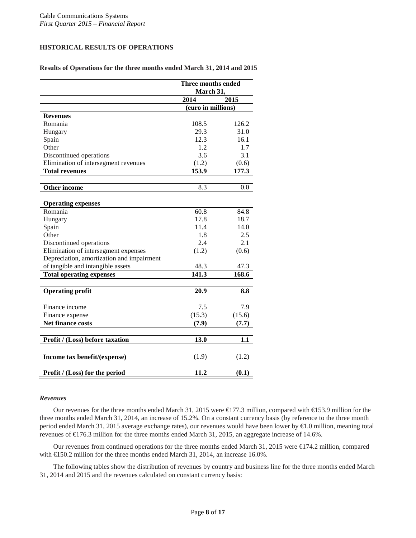## **HISTORICAL RESULTS OF OPERATIONS**

## **Results of Operations for the three months ended March 31, 2014 and 2015**

|                                           | Three months ended<br>March 31, |        |  |
|-------------------------------------------|---------------------------------|--------|--|
|                                           | 2014                            | 2015   |  |
|                                           | (euro in millions)              |        |  |
| <b>Revenues</b>                           |                                 |        |  |
| Romania                                   | 108.5                           | 126.2  |  |
| Hungary                                   | 29.3                            | 31.0   |  |
| Spain                                     | 12.3                            | 16.1   |  |
| Other                                     | 1.2                             | 1.7    |  |
| Discontinued operations                   | 3.6                             | 3.1    |  |
| Elimination of intersegment revenues      | (1.2)                           | (0.6)  |  |
| <b>Total revenues</b>                     | 153.9                           | 177.3  |  |
| <b>Other income</b>                       | 8.3                             | 0.0    |  |
|                                           |                                 |        |  |
| <b>Operating expenses</b>                 |                                 |        |  |
| Romania                                   | 60.8                            | 84.8   |  |
| Hungary                                   | 17.8                            | 18.7   |  |
| Spain                                     | 11.4                            | 14.0   |  |
| Other                                     | 1.8                             | 2.5    |  |
| Discontinued operations                   | 2.4                             | 2.1    |  |
| Elimination of intersegment expenses      | (1.2)                           | (0.6)  |  |
| Depreciation, amortization and impairment |                                 |        |  |
| of tangible and intangible assets         | 48.3                            | 47.3   |  |
| <b>Total operating expenses</b>           | 141.3                           | 168.6  |  |
| <b>Operating profit</b>                   | 20.9                            | 8.8    |  |
|                                           |                                 |        |  |
| Finance income                            | 7.5                             | 7.9    |  |
| Finance expense                           | (15.3)                          | (15.6) |  |
| Net finance costs                         | (7.9)                           | (7.7)  |  |
|                                           |                                 |        |  |
| Profit / (Loss) before taxation           | 13.0                            | 1.1    |  |
| Income tax benefit/(expense)              | (1.9)                           | (1.2)  |  |
|                                           |                                 |        |  |
| Profit / (Loss) for the period            | 11.2                            | (0.1)  |  |

#### *Revenues*

Our revenues for the three months ended March 31, 2015 were  $\in$  77.3 million, compared with  $\in$  53.9 million for the three months ended March 31, 2014, an increase of 15.2%. On a constant currency basis (by reference to the three month period ended March 31, 2015 average exchange rates), our revenues would have been lower by €1.0 million, meaning total revenues of €176.3 million for the three months ended March 31, 2015, an aggregate increase of 14.6%.

Our revenues from continued operations for the three months ended March 31, 2015 were €174.2 million, compared with €150.2 million for the three months ended March 31, 2014, an increase 16.0%.

The following tables show the distribution of revenues by country and business line for the three months ended March 31, 2014 and 2015 and the revenues calculated on constant currency basis: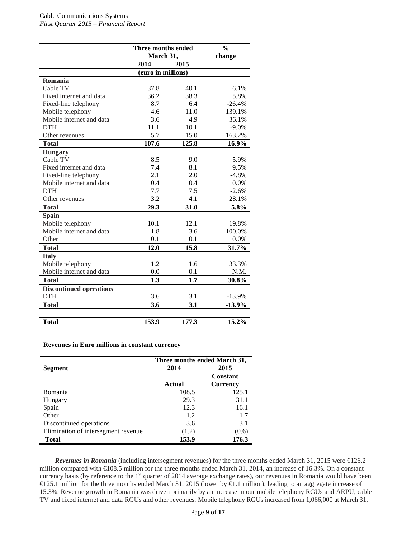|                                | Three months ended | $\frac{0}{0}$ |          |
|--------------------------------|--------------------|---------------|----------|
|                                | March 31,          | change        |          |
|                                | 2014               | 2015          |          |
|                                | (euro in millions) |               |          |
| Romania                        |                    |               |          |
| Cable TV                       | 37.8               | 40.1          | 6.1%     |
| Fixed internet and data        | 36.2               | 38.3          | 5.8%     |
| Fixed-line telephony           | 8.7                | 6.4           | $-26.4%$ |
| Mobile telephony               | 4.6                | 11.0          | 139.1%   |
| Mobile internet and data       | 3.6                | 4.9           | 36.1%    |
| <b>DTH</b>                     | 11.1               | 10.1          | $-9.0\%$ |
| Other revenues                 | 5.7                | 15.0          | 163.2%   |
| <b>Total</b>                   | 107.6              | 125.8         | 16.9%    |
| <b>Hungary</b>                 |                    |               |          |
| Cable TV                       | 8.5                | 9.0           | 5.9%     |
| Fixed internet and data        | 7.4                | 8.1           | 9.5%     |
| Fixed-line telephony           | 2.1                | 2.0           | $-4.8%$  |
| Mobile internet and data       | 0.4                | 0.4           | 0.0%     |
| <b>DTH</b>                     | 7.7                | 7.5           | $-2.6%$  |
| Other revenues                 | 3.2                | 4.1           | 28.1%    |
| <b>Total</b>                   | 29.3               | 31.0          | 5.8%     |
| <b>Spain</b>                   |                    |               |          |
| Mobile telephony               | 10.1               | 12.1          | 19.8%    |
| Mobile internet and data       | 1.8                | 3.6           | 100.0%   |
| Other                          | 0.1                | 0.1           | 0.0%     |
| <b>Total</b>                   | 12.0               | 15.8          | 31.7%    |
| <b>Italy</b>                   |                    |               |          |
| Mobile telephony               | 1.2                | 1.6           | 33.3%    |
| Mobile internet and data       | 0.0                | 0.1           | N.M.     |
| <b>Total</b>                   | 1.3                | 1.7           | 30.8%    |
| <b>Discontinued operations</b> |                    |               |          |
| <b>DTH</b>                     | 3.6                | 3.1           | $-13.9%$ |
| <b>Total</b>                   | 3.6                | 3.1           | $-13.9%$ |
|                                |                    |               |          |
| <b>Total</b>                   | 153.9              | 177.3         | 15.2%    |

**Revenues in Euro millions in constant currency**

|                                     | Three months ended March 31, |                 |  |
|-------------------------------------|------------------------------|-----------------|--|
| Segment                             | 2015<br>2014                 |                 |  |
|                                     |                              | <b>Constant</b> |  |
|                                     | <b>Actual</b>                | <b>Currency</b> |  |
| Romania                             | 108.5                        | 125.1           |  |
| Hungary                             | 29.3                         | 31.1            |  |
| Spain                               | 12.3                         | 16.1            |  |
| Other                               | 1.2                          | 1.7             |  |
| Discontinued operations             | 3.6                          | 3.1             |  |
| Elimination of intersegment revenue | (1.2)                        | (0.6)           |  |
| <b>Total</b>                        | 153.9                        | 176.3           |  |

*Revenues in Romania* (including intersegment revenues) for the three months ended March 31, 2015 were €126.2 million compared with €108.5 million for the three months ended March 31, 2014, an increase of 16.3%. On a constant currency basis (by reference to the 1<sup>st</sup> quarter of 2014 average exchange rates), our revenues in Romania would have been €125.1 million for the three months ended March 31, 2015 (lower by €1.1 million), leading to an aggregate increase of 15.3%. Revenue growth in Romania was driven primarily by an increase in our mobile telephony RGUs and ARPU, cable TV and fixed internet and data RGUs and other revenues. Mobile telephony RGUs increased from 1,066,000 at March 31,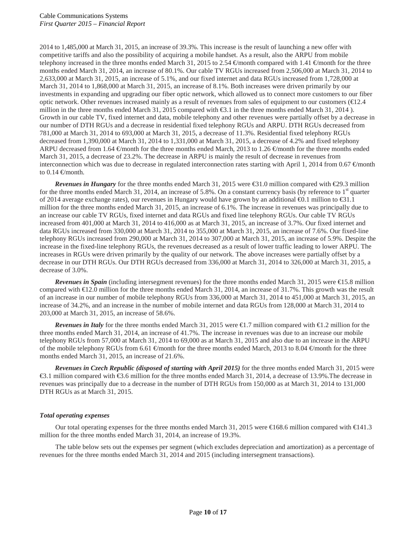2014 to 1,485,000 at March 31, 2015, an increase of 39.3%. This increase is the result of launching a new offer with competitive tariffs and also the possibility of acquiring a mobile handset. As a result, also the ARPU from mobile telephony increased in the three months ended March 31, 2015 to 2.54  $\in$ month compared with 1.41  $\in$ month for the three months ended March 31, 2014, an increase of 80.1%. Our cable TV RGUs increased from 2,506,000 at March 31, 2014 to 2,633,000 at March 31, 2015, an increase of 5.1%, and our fixed internet and data RGUs increased from 1,728,000 at March 31, 2014 to 1,868,000 at March 31, 2015, an increase of 8.1%. Both increases were driven primarily by our investments in expanding and upgrading our fiber optic network, which allowed us to connect more customers to our fiber optic network. Other revenues increased mainly as a result of revenues from sales of equipment to our customers ( $\text{E}2.4$ ) million in the three months ended March 31, 2015 compared with €3.1 in the three months ended March 31, 2014 ). Growth in our cable TV, fixed internet and data, mobile telephony and other revenues were partially offset by a decrease in our number of DTH RGUs and a decrease in residential fixed telephony RGUs and ARPU. DTH RGUs decreased from 781,000 at March 31, 2014 to 693,000 at March 31, 2015, a decrease of 11.3%. Residential fixed telephony RGUs decreased from 1,390,000 at March 31, 2014 to 1,331,000 at March 31, 2015, a decrease of 4.2% and fixed telephony ARPU decreased from 1.64  $\oplus$  month for the three months ended March, 2013 to 1.26  $\oplus$  month for the three months ended March 31, 2015, a decrease of 23.2%. The decrease in ARPU is mainly the result of decrease in revenues from interconnection which was due to decrease in regulated interconnection rates starting with April 1, 2014 from 0.67  $\in$ month to  $0.14 \in \text{month}$ .

*Revenues in Hungary* for the three months ended March 31, 2015 were  $\text{\textsterling}31.0$  million compared with  $\text{\textsterling}29.3$  million for the three months ended March 31, 2014, an increase of 5.8%. On a constant currency basis (by reference to  $1<sup>st</sup>$  quarter of 2014 average exchange rates), our revenues in Hungary would have grown by an additional  $\Theta$ .1 million to  $\Theta$ 1.1 million for the three months ended March 31, 2015, an increase of 6.1%. The increase in revenues was principally due to an increase our cable TV RGUs, fixed internet and data RGUs and fixed line telephony RGUs. Our cable TV RGUs increased from 401,000 at March 31, 2014 to 416,000 as at March 31, 2015, an increase of 3.7%. Our fixed internet and data RGUs increased from 330,000 at March 31, 2014 to 355,000 at March 31, 2015, an increase of 7.6%. Our fixed-line telephony RGUs increased from 290,000 at March 31, 2014 to 307,000 at March 31, 2015, an increase of 5.9%. Despite the increase in the fixed-line telephony RGUs, the revenues decreased as a result of lower traffic leading to lower ARPU. The increases in RGUs were driven primarily by the quality of our network. The above increases were partially offset by a decrease in our DTH RGUs. Our DTH RGUs decreased from 336,000 at March 31, 2014 to 326,000 at March 31, 2015, a decrease of 3.0%.

*Revenues in Spain* (including intersegment revenues) for the three months ended March 31, 2015 were €15.8 million compared with  $\epsilon 12.0$  million for the three months ended March 31, 2014, an increase of 31.7%. This growth was the result of an increase in our number of mobile telephony RGUs from 336,000 at March 31, 2014 to 451,000 at March 31, 2015, an increase of 34.2%, and an increase in the number of mobile internet and data RGUs from 128,000 at March 31, 2014 to 203,000 at March 31, 2015, an increase of 58.6%.

*Revenues in Italy* for the three months ended March 31, 2015 were €1.7 million compared with €1.2 million for the three months ended March 31, 2014, an increase of 41.7%. The increase in revenues was due to an increase our mobile telephony RGUs from 57,000 at March 31, 2014 to 69,000 as at March 31, 2015 and also due to an increase in the ARPU of the mobile telephony RGUs from 6.61  $\oplus$  month for the three months ended March, 2013 to 8.04  $\oplus$  month for the three months ended March 31, 2015, an increase of 21.6%.

*Revenues in Czech Republic (disposed of starting with April 2015)* for the three months ended March 31, 2015 were €3.1 million compared with €3.6 million for the three months ended March 31, 2014, a decrease of 13.9%.The decrease in revenues was principally due to a decrease in the number of DTH RGUs from 150,000 as at March 31, 2014 to 131,000 DTH RGUs as at March 31, 2015.

## *Total operating expenses*

Our total operating expenses for the three months ended March 31, 2015 were €168.6 million compared with €141.3 million for the three months ended March 31, 2014, an increase of 19.3%.

The table below sets out the expenses per segment (which excludes depreciation and amortization) as a percentage of revenues for the three months ended March 31, 2014 and 2015 (including intersegment transactions).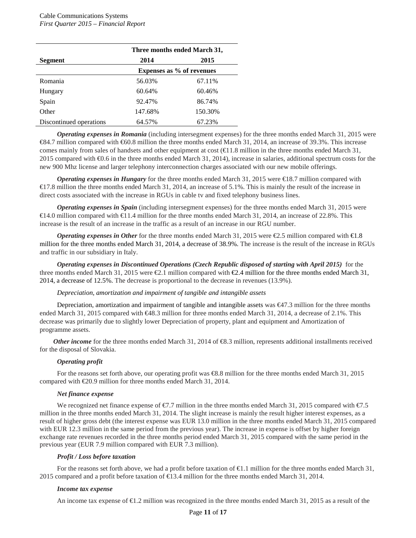|                         | Three months ended March 31, |                           |  |  |
|-------------------------|------------------------------|---------------------------|--|--|
| <b>Segment</b>          | 2014                         | 2015                      |  |  |
|                         |                              | Expenses as % of revenues |  |  |
| Romania                 | 56.03%                       | 67.11%                    |  |  |
| Hungary                 | 60.64%                       | 60.46%                    |  |  |
| Spain                   | 92.47%                       | 86.74%                    |  |  |
| Other                   | 147.68%                      | 150.30%                   |  |  |
| Discontinued operations | 64.57%                       | 67.23%                    |  |  |

*Operating expenses in Romania* (including intersegment expenses) for the three months ended March 31, 2015 were €84.7 million compared with €60.8 million the three months ended March 31, 2014, an increase of 39.3%. This increase comes mainly from sales of handsets and other equipment at cost  $(€1.8$  million in the three months ended March 31, 2015 compared with €0.6 in the three months ended March 31, 2014), increase in salaries, additional spectrum costs for the new 900 Mhz license and larger telephony interconnection charges associated with our new mobile offerings.

*Operating expenses in Hungary* for the three months ended March 31, 2015 were €18.7 million compared with €17.8 million the three months ended March 31, 2014, an increase of 5.1%. This is mainly the result of the increase in direct costs associated with the increase in RGUs in cable tv and fixed telephony business lines.

*Operating expenses in Spain* (including intersegment expenses) for the three months ended March 31, 2015 were €14.0 million compared with €11.4 million for the three months ended March 31, 2014, an increase of 22.8%. This increase is the result of an increase in the traffic as a result of an increase in our RGU number.

*Operating expenses in Other* for the three months ended March 31, 2015 were €2.5 million compared with €1.8 million for the three months ended March 31, 2014, a decrease of 38.9%. The increase is the result of the increase in RGUs and traffic in our subsidiary in Italy.

*Operating expenses in Discontinued Operations (Czech Republic disposed of starting with April 2015)* for the three months ended March 31, 2015 were  $\epsilon$ 2.1 million compared with  $\epsilon$ 2.4 million for the three months ended March 31, 2014, a decrease of 12.5%. The decrease is proportional to the decrease in revenues (13.9%).

#### *Depreciation, amortization and impairment of tangible and intangible assets*

Depreciation, amortization and impairment of tangible and intangible assets was  $\in \{47.3 \text{ million for the three months}$ ended March 31, 2015 compared with €48.3 million for three months ended March 31, 2014, a decrease of 2.1%. This decrease was primarily due to slightly lower Depreciation of property, plant and equipment and Amortization of programme assets.

*Other income* for the three months ended March 31, 2014 of **€8.3** million, represents additional installments received for the disposal of Slovakia.

#### *Operating profit*

For the reasons set forth above, our operating profit was €8.8 million for the three months ended March 31, 2015 compared with €20.9 million for three months ended March 31, 2014.

#### *Net finance expense*

We recognized net finance expense of  $\epsilon$ 7.7 million in the three months ended March 31, 2015 compared with  $\epsilon$ 7.5 million in the three months ended March 31, 2014. The slight increase is mainly the result higher interest expenses, as a result of higher gross debt (the interest expense was EUR 13.0 million in the three months ended March 31, 2015 compared with EUR 12.3 million in the same period from the previous year). The increase in expense is offset by higher foreign exchange rate revenues recorded in the three months period ended March 31, 2015 compared with the same period in the previous year (EUR 7.9 million compared with EUR 7.3 million).

#### *Profit / Loss before taxation*

For the reasons set forth above, we had a profit before taxation of  $\bigoplus$ . 1 million for the three months ended March 31, 2015 compared and a profit before taxation of €13.4 million for the three months ended March 31, 2014.

#### *Income tax expense*

An income tax expense of  $\bigoplus$ .2 million was recognized in the three months ended March 31, 2015 as a result of the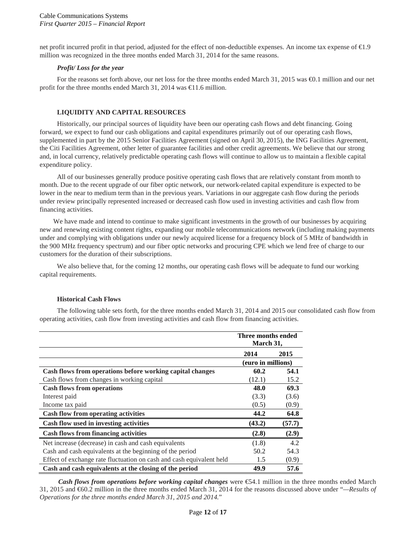net profit incurred profit in that period, adjusted for the effect of non-deductible expenses. An income tax expense of €1.9 million was recognized in the three months ended March 31, 2014 for the same reasons.

## *Profit/ Loss for the year*

For the reasons set forth above, our net loss for the three months ended March 31, 2015 was €0.1 million and our net profit for the three months ended March 31, 2014 was  $\in$  1.6 million.

## **LIQUIDITY AND CAPITAL RESOURCES**

Historically, our principal sources of liquidity have been our operating cash flows and debt financing. Going forward, we expect to fund our cash obligations and capital expenditures primarily out of our operating cash flows, supplemented in part by the 2015 Senior Facilities Agreement (signed on April 30, 2015), the ING Facilities Agreement, the Citi Facilities Agreement, other letter of guarantee facilities and other credit agreements. We believe that our strong and, in local currency, relatively predictable operating cash flows will continue to allow us to maintain a flexible capital expenditure policy.

All of our businesses generally produce positive operating cash flows that are relatively constant from month to month. Due to the recent upgrade of our fiber optic network, our network-related capital expenditure is expected to be lower in the near to medium term than in the previous years. Variations in our aggregate cash flow during the periods under review principally represented increased or decreased cash flow used in investing activities and cash flow from financing activities.

We have made and intend to continue to make significant investments in the growth of our businesses by acquiring new and renewing existing content rights, expanding our mobile telecommunications network (including making payments under and complying with obligations under our newly acquired license for a frequency block of 5 MHz of bandwidth in the 900 MHz frequency spectrum) and our fiber optic networks and procuring CPE which we lend free of charge to our customers for the duration of their subscriptions.

We also believe that, for the coming 12 months, our operating cash flows will be adequate to fund our working capital requirements.

## **Historical Cash Flows**

The following table sets forth, for the three months ended March 31, 2014 and 2015 our consolidated cash flow from operating activities, cash flow from investing activities and cash flow from financing activities.

|                                                                      | Three months ended<br>March 31, |        |  |
|----------------------------------------------------------------------|---------------------------------|--------|--|
|                                                                      | 2014                            | 2015   |  |
|                                                                      | (euro in millions)              |        |  |
| Cash flows from operations before working capital changes            | 60.2                            | 54.1   |  |
| Cash flows from changes in working capital                           | (12.1)                          | 15.2   |  |
| <b>Cash flows from operations</b>                                    | 48.0                            | 69.3   |  |
| Interest paid                                                        | (3.3)                           | (3.6)  |  |
| Income tax paid                                                      | (0.5)                           | (0.9)  |  |
| <b>Cash flow from operating activities</b>                           | 44.2                            | 64.8   |  |
| Cash flow used in investing activities                               | (43.2)                          | (57.7) |  |
| <b>Cash flows from financing activities</b>                          | (2.8)                           | (2.9)  |  |
| Net increase (decrease) in cash and cash equivalents                 | (1.8)                           | 4.2    |  |
| Cash and cash equivalents at the beginning of the period             | 50.2                            | 54.3   |  |
| Effect of exchange rate fluctuation on cash and cash equivalent held | 1.5                             | (0.9)  |  |
| Cash and cash equivalents at the closing of the period               | 49.9                            | 57.6   |  |

*Cash flows from operations before working capital changes were*  $\epsilon$ *54.1 million in the three months ended March* 31, 2015 and €60.2 million in the three months ended March 31, 2014 for the reasons discussed above under "*—Results of Operations for the three months ended March 31, 2015 and 2014.*"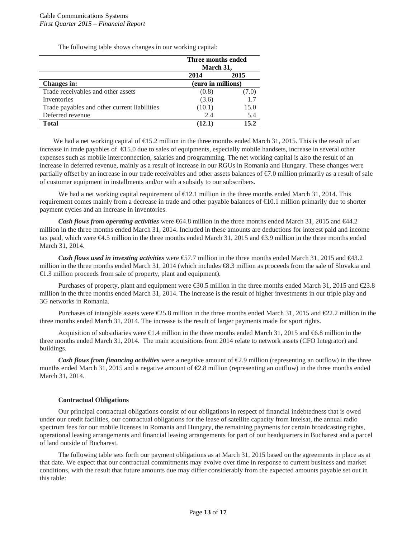The following table shows changes in our working capital:

|                                              | Three months ended<br>March 31, |       |  |
|----------------------------------------------|---------------------------------|-------|--|
|                                              | 2015<br>2014                    |       |  |
| <b>Changes in:</b>                           | (euro in millions)              |       |  |
| Trade receivables and other assets           | (0.8)                           | (7.0) |  |
| Inventories                                  | (3.6)                           |       |  |
| Trade payables and other current liabilities | (10.1)                          | 15.0  |  |
| Deferred revenue                             | 2.4                             | 5.4   |  |
| Total                                        | (12.1)                          | 15.2  |  |

We had a net working capital of  $\epsilon$ 15.2 million in the three months ended March 31, 2015. This is the result of an increase in trade payables of  $\bigoplus$  5.0 due to sales of equipments, especially mobile handsets, increase in several other expenses such as mobile interconnection, salaries and programming. The net working capital is also the result of an increase in deferred revenue, mainly as a result of increase in our RGUs in Romania and Hungary. These changes were partially offset by an increase in our trade receivables and other assets balances of  $\epsilon$ . O million primarily as a result of sale of customer equipment in installments and/or with a subsidy to our subscribers.

We had a net working capital requirement of  $\epsilon 12.1$  million in the three months ended March 31, 2014. This requirement comes mainly from a decrease in trade and other payable balances of €10.1 million primarily due to shorter payment cycles and an increase in inventories.

*Cash flows from operating activities* were €64.8 million in the three months ended March 31, 2015 and €44.2 million in the three months ended March 31, 2014. Included in these amounts are deductions for interest paid and income tax paid, which were €4.5 million in the three months ended March 31, 2015 and €3.9 million in the three months ended March 31, 2014.

*Cash flows used in investing activities* were €57.7 million in the three months ended March 31, 2015 and €43.2 million in the three months ended March 31, 2014 (which includes €8.3 million as proceeds from the sale of Slovakia and €1.3 million proceeds from sale of property, plant and equipment).

Purchases of property, plant and equipment were €30.5 million in the three months ended March 31, 2015 and €23.8 million in the three months ended March 31, 2014. The increase is the result of higher investments in our triple play and 3G networks in Romania.

Purchases of intangible assets were €25.8 million in the three months ended March 31, 2015 and €22.2 million in the three months ended March 31, 2014. The increase is the result of larger payments made for sport rights.

Acquisition of subsidiaries were €1.4 million in the three months ended March 31, 2015 and €6.8 million in the three months ended March 31, 2014. The main acquisitions from 2014 relate to network assets (CFO Integrator) and buildings.

*Cash flows from <i>financing activities* were a negative amount of  $E$ .9 million (representing an outflow) in the three months ended March 31, 2015 and a negative amount of €2.8 million (representing an outflow) in the three months ended March 31, 2014.

## **Contractual Obligations**

Our principal contractual obligations consist of our obligations in respect of financial indebtedness that is owed under our credit facilities, our contractual obligations for the lease of satellite capacity from Intelsat, the annual radio spectrum fees for our mobile licenses in Romania and Hungary, the remaining payments for certain broadcasting rights, operational leasing arrangements and financial leasing arrangements for part of our headquarters in Bucharest and a parcel of land outside of Bucharest.

The following table sets forth our payment obligations as at March 31, 2015 based on the agreements in place as at that date. We expect that our contractual commitments may evolve over time in response to current business and market conditions, with the result that future amounts due may differ considerably from the expected amounts payable set out in this table: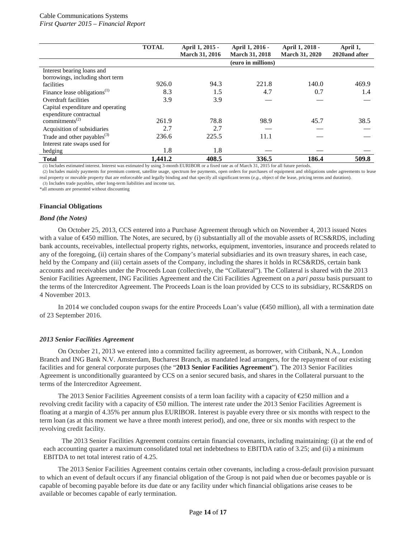|                                                                                                                                                                                                                                                                                                   | <b>TOTAL</b> | April 1, 2015 -<br><b>March 31, 2016</b> | April 1, 2016 -<br><b>March 31, 2018</b> | April 1, 2018 -<br><b>March 31, 2020</b> | April 1,<br>2020and after |
|---------------------------------------------------------------------------------------------------------------------------------------------------------------------------------------------------------------------------------------------------------------------------------------------------|--------------|------------------------------------------|------------------------------------------|------------------------------------------|---------------------------|
|                                                                                                                                                                                                                                                                                                   |              |                                          | (euro in millions)                       |                                          |                           |
| Interest bearing loans and                                                                                                                                                                                                                                                                        |              |                                          |                                          |                                          |                           |
| borrowings, including short term                                                                                                                                                                                                                                                                  |              |                                          |                                          |                                          |                           |
| facilities                                                                                                                                                                                                                                                                                        | 926.0        | 94.3                                     | 221.8                                    | 140.0                                    | 469.9                     |
| Finance lease obligations $^{(1)}$                                                                                                                                                                                                                                                                | 8.3          | 1.5                                      | 4.7                                      | 0.7                                      | 1.4                       |
| Overdraft facilities                                                                                                                                                                                                                                                                              | 3.9          | 3.9                                      |                                          |                                          |                           |
| Capital expenditure and operating                                                                                                                                                                                                                                                                 |              |                                          |                                          |                                          |                           |
| expenditure contractual                                                                                                                                                                                                                                                                           |              |                                          |                                          |                                          |                           |
| commitments <sup><math>(2)</math></sup>                                                                                                                                                                                                                                                           | 261.9        | 78.8                                     | 98.9                                     | 45.7                                     | 38.5                      |
| Acquisition of subsidiaries                                                                                                                                                                                                                                                                       | 2.7          | 2.7                                      |                                          |                                          |                           |
| Trade and other payables $^{(3)}$                                                                                                                                                                                                                                                                 | 236.6        | 225.5                                    | 11.1                                     |                                          |                           |
| Interest rate swaps used for                                                                                                                                                                                                                                                                      |              |                                          |                                          |                                          |                           |
| hedging                                                                                                                                                                                                                                                                                           | 1.8          | 1.8                                      |                                          |                                          |                           |
| <b>Total</b><br>$\mathcal{A} \times \mathcal{R} = \mathcal{A} \times \mathcal{A} = \mathcal{A} \times \mathcal{A}$ , and a set of the set of the set of the set of the set of the set of the set of the set of the set of the set of the set of the set of the set of the set of the set of the s | 1.441.2      | 408.5<br>$A = 1$ FIDIDOD                 | 336.5<br>$C3.6$ $1.21.2017C$ $11C$ .     | 186.4<br>$\cdot$ $\cdot$                 | 509.8                     |

(1) Includes estimated interest. Interest was estimated by using 3-month EURIBOR or a fixed rate as of March 31, 2015 for all future periods.

(2) Includes mainly payments for premium content, satellite usage, spectrum fee payments, open orders for purchases of equipment and obligations under agreements to lease real property or movable property that are enforceable and legally binding and that specify all significant terms (*e.g.*, object of the lease, pricing terms and duration). (3) Includes trade payables, other long-term liabilities and income tax.

\*all amounts are presented without discounting

#### **Financial Obligations**

#### *Bond (the Notes)*

On October 25, 2013, CCS entered into a Purchase Agreement through which on November 4, 2013 issued Notes with a value of €450 million. The Notes, are secured, by (i) substantially all of the movable assets of RCS&RDS, including bank accounts, receivables, intellectual property rights, networks, equipment, inventories, insurance and proceeds related to any of the foregoing, (ii) certain shares of the Company's material subsidiaries and its own treasury shares, in each case, held by the Company and (iii) certain assets of the Company, including the shares it holds in RCS&RDS, certain bank accounts and receivables under the Proceeds Loan (collectively, the "Collateral"). The Collateral is shared with the 2013 Senior Facilities Agreement, ING Facilities Agreement and the Citi Facilities Agreement on a *pari passu* basis pursuant to the terms of the Intercreditor Agreement. The Proceeds Loan is the loan provided by CCS to its subsidiary, RCS&RDS on 4 November 2013.

In 2014 we concluded coupon swaps for the entire Proceeds Loan's value (€450 million), all with a termination date of 23 September 2016.

#### *2013 Senior Facilities Agreement*

On October 21, 2013 we entered into a committed facility agreement, as borrower, with Citibank, N.A., London Branch and ING Bank N.V. Amsterdam, Bucharest Branch, as mandated lead arrangers, for the repayment of our existing facilities and for general corporate purposes (the "**2013 Senior Facilities Agreement**"). The 2013 Senior Facilities Agreement is unconditionally guaranteed by CCS on a senior secured basis, and shares in the Collateral pursuant to the terms of the Intercreditor Agreement.

The 2013 Senior Facilities Agreement consists of a term loan facility with a capacity of  $\epsilon$ 250 million and a revolving credit facility with a capacity of €50 million. The interest rate under the 2013 Senior Facilities Agreement is floating at a margin of 4.35% per annum plus EURIBOR. Interest is payable every three or six months with respect to the term loan (as at this moment we have a three month interest period), and one, three or six months with respect to the revolving credit facility.

The 2013 Senior Facilities Agreement contains certain financial covenants, including maintaining: (i) at the end of each accounting quarter a maximum consolidated total net indebtedness to EBITDA ratio of 3.25; and (ii) a minimum EBITDA to net total interest ratio of 4.25.

The 2013 Senior Facilities Agreement contains certain other covenants, including a cross-default provision pursuant to which an event of default occurs if any financial obligation of the Group is not paid when due or becomes payable or is capable of becoming payable before its due date or any facility under which financial obligations arise ceases to be available or becomes capable of early termination.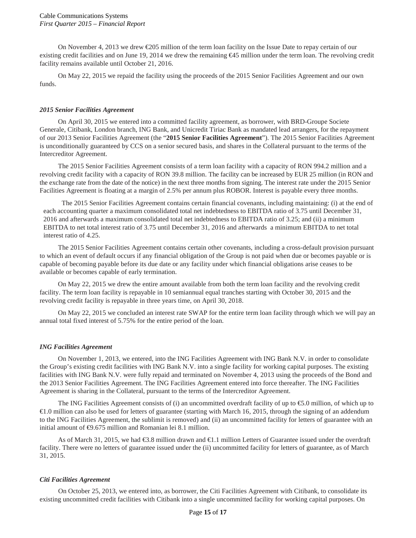On November 4, 2013 we drew  $\epsilon$ 205 million of the term loan facility on the Issue Date to repay certain of our existing credit facilities and on June 19, 2014 we drew the remaining €45 million under the term loan. The revolving credit facility remains available until October 21, 2016.

On May 22, 2015 we repaid the facility using the proceeds of the 2015 Senior Facilities Agreement and our own funds.

#### *2015 Senior Facilities Agreement*

On April 30, 2015 we entered into a committed facility agreement, as borrower, with BRD-Groupe Societe Generale, Citibank, London branch, ING Bank, and Unicredit Tiriac Bank as mandated lead arrangers, for the repayment of our 2013 Senior Facilities Agreement (the "**2015 Senior Facilities Agreement**"). The 2015 Senior Facilities Agreement is unconditionally guaranteed by CCS on a senior secured basis, and shares in the Collateral pursuant to the terms of the Intercreditor Agreement.

The 2015 Senior Facilities Agreement consists of a term loan facility with a capacity of RON 994.2 million and a revolving credit facility with a capacity of RON 39.8 million. The facility can be increased by EUR 25 million (in RON and the exchange rate from the date of the notice) in the next three months from signing. The interest rate under the 2015 Senior Facilities Agreement is floating at a margin of 2.5% per annum plus ROBOR. Interest is payable every three months.

The 2015 Senior Facilities Agreement contains certain financial covenants, including maintaining: (i) at the end of each accounting quarter a maximum consolidated total net indebtedness to EBITDA ratio of 3.75 until December 31, 2016 and afterwards a maximum consolidated total net indebtedness to EBITDA ratio of 3.25; and (ii) a minimum EBITDA to net total interest ratio of 3.75 until December 31, 2016 and afterwards a minimum EBITDA to net total interest ratio of 4.25.

The 2015 Senior Facilities Agreement contains certain other covenants, including a cross-default provision pursuant to which an event of default occurs if any financial obligation of the Group is not paid when due or becomes payable or is capable of becoming payable before its due date or any facility under which financial obligations arise ceases to be available or becomes capable of early termination.

On May 22, 2015 we drew the entire amount available from both the term loan facility and the revolving credit facility. The term loan facility is repayable in 10 semiannual equal tranches starting with October 30, 2015 and the revolving credit facility is repayable in three years time, on April 30, 2018.

On May 22, 2015 we concluded an interest rate SWAP for the entire term loan facility through which we will pay an annual total fixed interest of 5.75% for the entire period of the loan.

#### *ING Facilities Agreement*

On November 1, 2013, we entered, into the ING Facilities Agreement with ING Bank N.V. in order to consolidate the Group's existing credit facilities with ING Bank N.V. into a single facility for working capital purposes. The existing facilities with ING Bank N.V. were fully repaid and terminated on November 4, 2013 using the proceeds of the Bond and the 2013 Senior Facilities Agreement. The ING Facilities Agreement entered into force thereafter. The ING Facilities Agreement is sharing in the Collateral, pursuant to the terms of the Intercreditor Agreement.

The ING Facilities Agreement consists of (i) an uncommitted overdraft facility of up to  $\epsilon$ .0 million, of which up to €1.0 million can also be used for letters of guarantee (starting with March 16, 2015, through the signing of an addendum to the ING Facilities Agreement, the sublimit is removed) and (ii) an uncommitted facility for letters of guarantee with an initial amount of  $\Theta$ .675 million and Romanian lei 8.1 million.

As of March 31, 2015, we had €3.8 million drawn and €1.1 million Letters of Guarantee issued under the overdraft facility. There were no letters of guarantee issued under the (ii) uncommitted facility for letters of guarantee, as of March 31, 2015.

#### *Citi Facilities Agreement*

On October 25, 2013, we entered into, as borrower, the Citi Facilities Agreement with Citibank, to consolidate its existing uncommitted credit facilities with Citibank into a single uncommitted facility for working capital purposes. On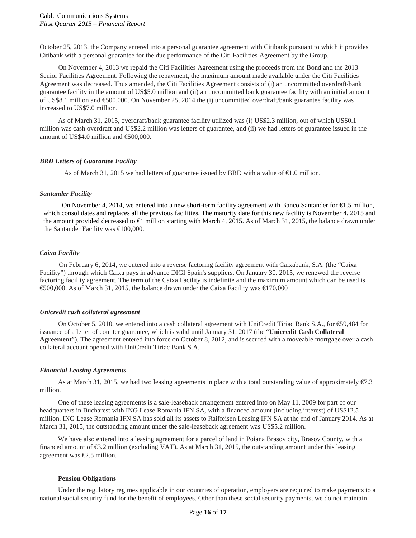October 25, 2013, the Company entered into a personal guarantee agreement with Citibank pursuant to which it provides Citibank with a personal guarantee for the due performance of the Citi Facilities Agreement by the Group.

On November 4, 2013 we repaid the Citi Facilities Agreement using the proceeds from the Bond and the 2013 Senior Facilities Agreement. Following the repayment, the maximum amount made available under the Citi Facilities Agreement was decreased. Thus amended, the Citi Facilities Agreement consists of (i) an uncommitted overdraft/bank guarantee facility in the amount of US\$5.0 million and (ii) an uncommitted bank guarantee facility with an initial amount of US\$8.1 million and €500,000. On November 25, 2014 the (i) uncommitted overdraft/bank guarantee facility was increased to US\$7.0 million.

As of March 31, 2015, overdraft/bank guarantee facility utilized was (i) US\$2.3 million, out of which US\$0.1 million was cash overdraft and US\$2.2 million was letters of guarantee, and (ii) we had letters of guarantee issued in the amount of US\$4.0 million and €500,000.

## *BRD Letters of Guarantee Facility*

As of March 31, 2015 we had letters of guarantee issued by BRD with a value of  $\epsilon$ 1.0 million.

#### *Santander Facility*

On November 4, 2014, we entered into a new short-term facility agreement with Banco Santander for €1.5 million, which consolidates and replaces all the previous facilities. The maturity date for this new facility is November 4, 2015 and the amount provided decreased to €1 million starting with March 4, 2015. As of March 31, 2015, the balance drawn under the Santander Facility was €100,000.

## *Caixa Facility*

On February 6, 2014, we entered into a reverse factoring facility agreement with Caixabank, S.A. (the "Caixa Facility") through which Caixa pays in advance DIGI Spain's suppliers. On January 30, 2015, we renewed the reverse factoring facility agreement. The term of the Caixa Facility is indefinite and the maximum amount which can be used is €500,000. As of March 31, 2015, the balance drawn under the Caixa Facility was €170,000

## *Unicredit cash collateral agreement*

On October 5, 2010, we entered into a cash collateral agreement with UniCredit Tiriac Bank S.A., for €59,484 for issuance of a letter of counter guarantee, which is valid until January 31, 2017 (the "**Unicredit Cash Collateral Agreement**"). The agreement entered into force on October 8, 2012, and is secured with a moveable mortgage over a cash collateral account opened with UniCredit Tiriac Bank S.A.

## *Financial Leasing Agreements*

As at March 31, 2015, we had two leasing agreements in place with a total outstanding value of approximately  $\epsilon/3$ . million.

One of these leasing agreements is a sale-leaseback arrangement entered into on May 11, 2009 for part of our headquarters in Bucharest with ING Lease Romania IFN SA, with a financed amount (including interest) of US\$12.5 million. ING Lease Romania IFN SA has sold all its assets to Raiffeisen Leasing IFN SA at the end of January 2014. As at March 31, 2015, the outstanding amount under the sale-leaseback agreement was US\$5.2 million.

We have also entered into a leasing agreement for a parcel of land in Poiana Brasov city, Brasov County, with a financed amount of €3.2 million (excluding VAT). As at March 31, 2015, the outstanding amount under this leasing agreement was €2.5 million.

#### **Pension Obligations**

Under the regulatory regimes applicable in our countries of operation, employers are required to make payments to a national social security fund for the benefit of employees. Other than these social security payments, we do not maintain